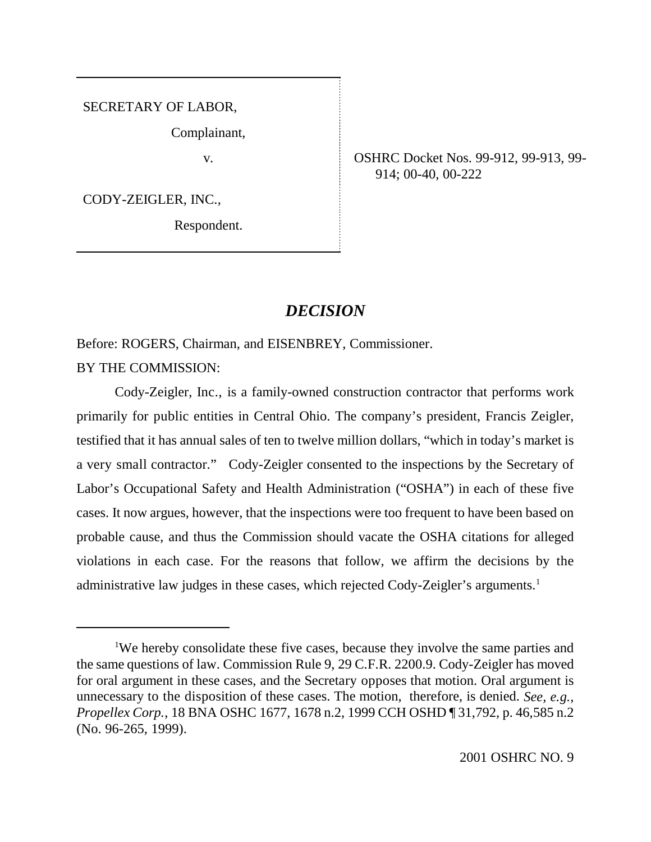SECRETARY OF LABOR,

Complainant,

CODY-ZEIGLER, INC.,

Respondent.

v. OSHRC Docket Nos. 99-912, 99-913, 99- 914; 00-40, 00-222

# *DECISION*

Before: ROGERS, Chairman, and EISENBREY, Commissioner. BY THE COMMISSION:

Cody-Zeigler, Inc., is a family-owned construction contractor that performs work primarily for public entities in Central Ohio. The company's president, Francis Zeigler, testified that it has annual sales of ten to twelve million dollars, "which in today's market is a very small contractor." Cody-Zeigler consented to the inspections by the Secretary of Labor's Occupational Safety and Health Administration ("OSHA") in each of these five cases. It now argues, however, that the inspections were too frequent to have been based on probable cause, and thus the Commission should vacate the OSHA citations for alleged violations in each case. For the reasons that follow, we affirm the decisions by the administrative law judges in these cases, which rejected Cody-Zeigler's arguments.<sup>1</sup>

<sup>&</sup>lt;sup>1</sup>We hereby consolidate these five cases, because they involve the same parties and the same questions of law. Commission Rule 9, 29 C.F.R. 2200.9. Cody-Zeigler has moved for oral argument in these cases, and the Secretary opposes that motion. Oral argument is unnecessary to the disposition of these cases. The motion, therefore, is denied. *See, e.g., Propellex Corp.*, 18 BNA OSHC 1677, 1678 n.2, 1999 CCH OSHD ¶ 31,792, p. 46,585 n.2 (No. 96-265, 1999).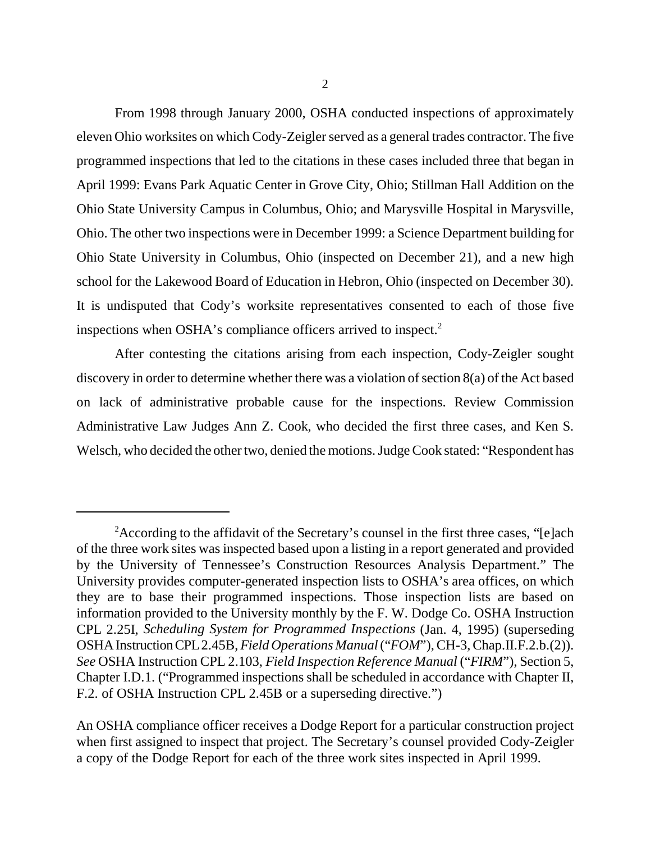From 1998 through January 2000, OSHA conducted inspections of approximately eleven Ohio worksites on which Cody-Zeigler served as a general trades contractor. The five programmed inspections that led to the citations in these cases included three that began in April 1999: Evans Park Aquatic Center in Grove City, Ohio; Stillman Hall Addition on the Ohio State University Campus in Columbus, Ohio; and Marysville Hospital in Marysville, Ohio. The other two inspections were in December 1999: a Science Department building for Ohio State University in Columbus, Ohio (inspected on December 21), and a new high school for the Lakewood Board of Education in Hebron, Ohio (inspected on December 30). It is undisputed that Cody's worksite representatives consented to each of those five inspections when OSHA's compliance officers arrived to inspect.<sup>2</sup>

After contesting the citations arising from each inspection, Cody-Zeigler sought discovery in order to determine whether there was a violation of section 8(a) of the Act based on lack of administrative probable cause for the inspections. Review Commission Administrative Law Judges Ann Z. Cook, who decided the first three cases, and Ken S. Welsch, who decided the other two, denied the motions. Judge Cook stated: "Respondent has

<sup>&</sup>lt;sup>2</sup> According to the affidavit of the Secretary's counsel in the first three cases, "[e]ach of the three work sites was inspected based upon a listing in a report generated and provided by the University of Tennessee's Construction Resources Analysis Department." The University provides computer-generated inspection lists to OSHA's area offices, on which they are to base their programmed inspections. Those inspection lists are based on information provided to the University monthly by the F. W. Dodge Co. OSHA Instruction CPL 2.25I, *Scheduling System for Programmed Inspections* (Jan. 4, 1995) (superseding OSHA Instruction CPL 2.45B, *Field Operations Manual* ("*FOM*"), CH-3, Chap.II.F.2.b.(2)). *See* OSHA Instruction CPL 2.103, *Field Inspection Reference Manual* ("*FIRM*"), Section 5, Chapter I.D.1. ("Programmed inspections shall be scheduled in accordance with Chapter II, F.2. of OSHA Instruction CPL 2.45B or a superseding directive.")

An OSHA compliance officer receives a Dodge Report for a particular construction project when first assigned to inspect that project. The Secretary's counsel provided Cody-Zeigler a copy of the Dodge Report for each of the three work sites inspected in April 1999.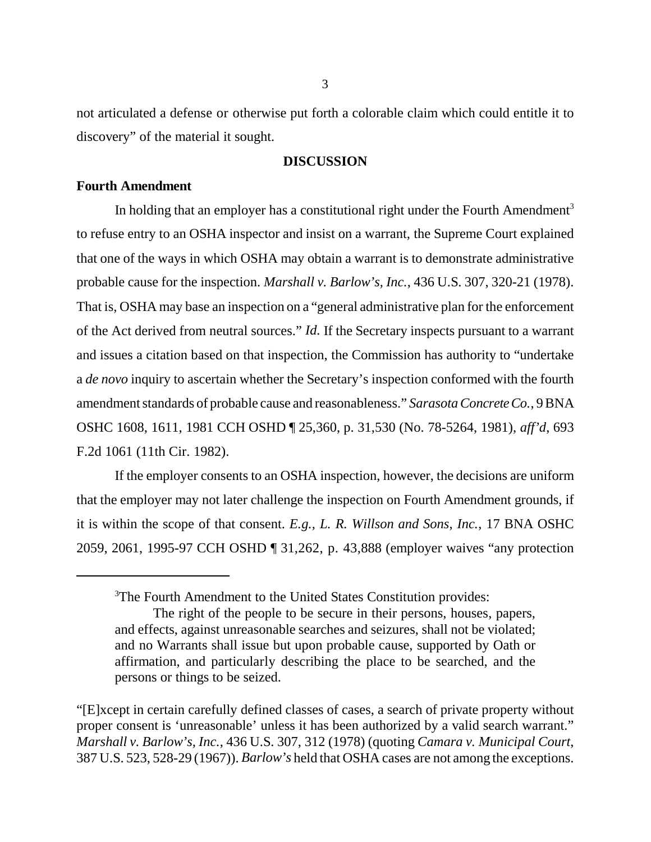not articulated a defense or otherwise put forth a colorable claim which could entitle it to discovery" of the material it sought.

# **DISCUSSION**

# **Fourth Amendment**

In holding that an employer has a constitutional right under the Fourth Amendment<sup>3</sup> to refuse entry to an OSHA inspector and insist on a warrant, the Supreme Court explained that one of the ways in which OSHA may obtain a warrant is to demonstrate administrative probable cause for the inspection. *Marshall v. Barlow's, Inc.*, 436 U.S. 307, 320-21 (1978). That is, OSHA may base an inspection on a "general administrative plan for the enforcement of the Act derived from neutral sources." *Id.* If the Secretary inspects pursuant to a warrant and issues a citation based on that inspection, the Commission has authority to "undertake a *de novo* inquiry to ascertain whether the Secretary's inspection conformed with the fourth amendment standards of probable cause and reasonableness." *Sarasota Concrete Co.*, 9 BNA OSHC 1608, 1611, 1981 CCH OSHD ¶ 25,360, p. 31,530 (No. 78-5264, 1981), *aff'd*, 693 F.2d 1061 (11th Cir. 1982).

If the employer consents to an OSHA inspection, however, the decisions are uniform that the employer may not later challenge the inspection on Fourth Amendment grounds, if it is within the scope of that consent. *E.g., L. R. Willson and Sons, Inc.*, 17 BNA OSHC 2059, 2061, 1995-97 CCH OSHD ¶ 31,262, p. 43,888 (employer waives "any protection

<sup>&</sup>lt;sup>3</sup>The Fourth Amendment to the United States Constitution provides:

The right of the people to be secure in their persons, houses, papers, and effects, against unreasonable searches and seizures, shall not be violated; and no Warrants shall issue but upon probable cause, supported by Oath or affirmation, and particularly describing the place to be searched, and the persons or things to be seized.

<sup>&</sup>quot;[E]xcept in certain carefully defined classes of cases, a search of private property without proper consent is 'unreasonable' unless it has been authorized by a valid search warrant." *Marshall v. Barlow's, Inc.*, 436 U.S. 307, 312 (1978) (quoting *Camara v. Municipal Court*, 387 U.S. 523, 528-29 (1967)). *Barlow's* held that OSHA cases are not among the exceptions.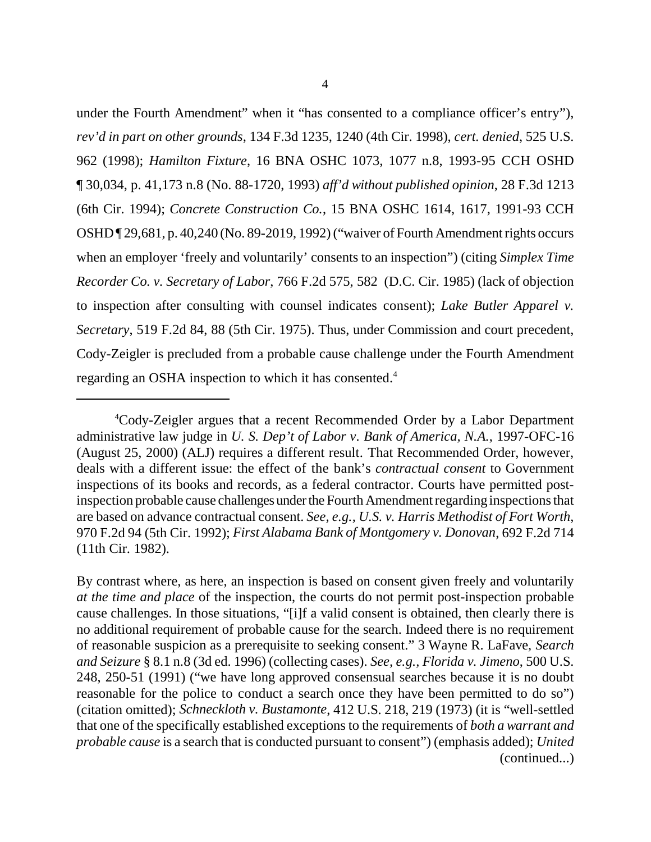under the Fourth Amendment" when it "has consented to a compliance officer's entry"), *rev'd in part on other grounds*, 134 F.3d 1235, 1240 (4th Cir. 1998), *cert. denied*, 525 U.S. 962 (1998); *Hamilton Fixture*, 16 BNA OSHC 1073, 1077 n.8, 1993-95 CCH OSHD ¶ 30,034, p. 41,173 n.8 (No. 88-1720, 1993) *aff'd without published opinion*, 28 F.3d 1213 (6th Cir. 1994); *Concrete Construction Co.*, 15 BNA OSHC 1614, 1617, 1991-93 CCH OSHD ¶ 29,681, p. 40,240 (No. 89-2019, 1992) ("waiver of Fourth Amendment rights occurs when an employer 'freely and voluntarily' consents to an inspection") (citing *Simplex Time Recorder Co. v. Secretary of Labor*, 766 F.2d 575, 582 (D.C. Cir. 1985) (lack of objection to inspection after consulting with counsel indicates consent); *Lake Butler Apparel v. Secretary*, 519 F.2d 84, 88 (5th Cir. 1975). Thus, under Commission and court precedent, Cody-Zeigler is precluded from a probable cause challenge under the Fourth Amendment regarding an OSHA inspection to which it has consented.4

<sup>4</sup> Cody-Zeigler argues that a recent Recommended Order by a Labor Department administrative law judge in *U. S. Dep't of Labor v. Bank of America, N.A.*, 1997-OFC-16 (August 25, 2000) (ALJ) requires a different result. That Recommended Order, however, deals with a different issue: the effect of the bank's *contractual consent* to Government inspections of its books and records, as a federal contractor. Courts have permitted postinspection probable cause challenges under the Fourth Amendment regarding inspections that are based on advance contractual consent. *See, e.g., U.S. v. Harris Methodist of Fort Worth*, 970 F.2d 94 (5th Cir. 1992); *First Alabama Bank of Montgomery v. Donovan*, 692 F.2d 714 (11th Cir. 1982).

By contrast where, as here, an inspection is based on consent given freely and voluntarily *at the time and place* of the inspection, the courts do not permit post-inspection probable cause challenges. In those situations, "[i]f a valid consent is obtained, then clearly there is no additional requirement of probable cause for the search. Indeed there is no requirement of reasonable suspicion as a prerequisite to seeking consent." 3 Wayne R. LaFave, *Search and Seizure* § 8.1 n.8 (3d ed. 1996) (collecting cases). *See, e.g., Florida v. Jimeno*, 500 U.S. 248, 250-51 (1991) ("we have long approved consensual searches because it is no doubt reasonable for the police to conduct a search once they have been permitted to do so") (citation omitted); *Schneckloth v. Bustamonte*, 412 U.S. 218, 219 (1973) (it is "well-settled that one of the specifically established exceptions to the requirements of *both a warrant and probable cause* is a search that is conducted pursuant to consent") (emphasis added); *United* (continued...)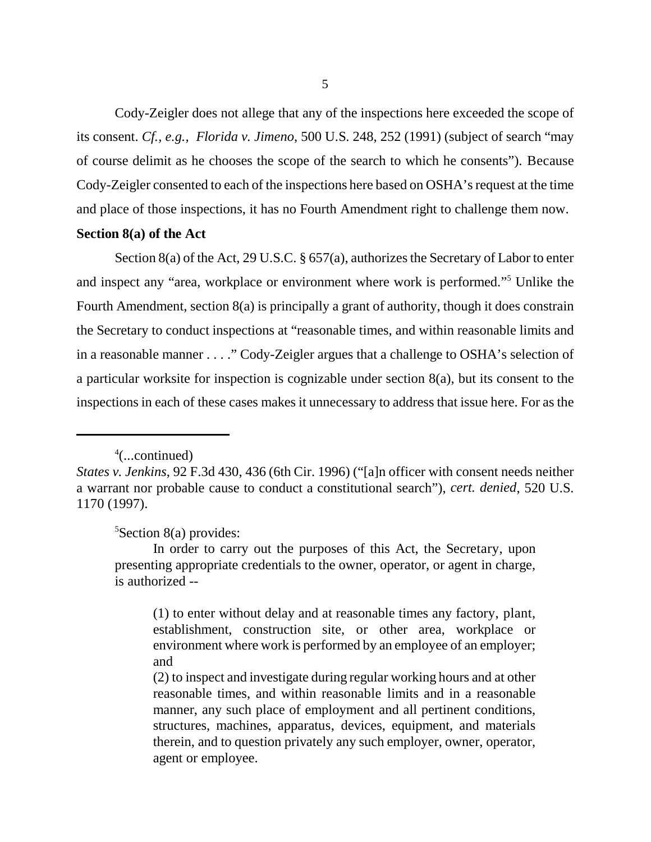Cody-Zeigler does not allege that any of the inspections here exceeded the scope of its consent. *Cf., e.g., Florida v. Jimeno*, 500 U.S. 248, 252 (1991) (subject of search "may of course delimit as he chooses the scope of the search to which he consents"). Because Cody-Zeigler consented to each of the inspections here based on OSHA's request at the time and place of those inspections, it has no Fourth Amendment right to challenge them now.

# **Section 8(a) of the Act**

Section 8(a) of the Act, 29 U.S.C. § 657(a), authorizes the Secretary of Labor to enter and inspect any "area, workplace or environment where work is performed."<sup>5</sup> Unlike the Fourth Amendment, section 8(a) is principally a grant of authority, though it does constrain the Secretary to conduct inspections at "reasonable times, and within reasonable limits and in a reasonable manner . . . ." Cody-Zeigler argues that a challenge to OSHA's selection of a particular worksite for inspection is cognizable under section 8(a), but its consent to the inspections in each of these cases makes it unnecessary to address that issue here. For as the

<sup>5</sup>Section 8(a) provides:

<sup>4</sup> (...continued)

*States v. Jenkins*, 92 F.3d 430, 436 (6th Cir. 1996) ("[a]n officer with consent needs neither a warrant nor probable cause to conduct a constitutional search"), *cert. denied*, 520 U.S. 1170 (1997).

In order to carry out the purposes of this Act, the Secretary, upon presenting appropriate credentials to the owner, operator, or agent in charge, is authorized --

<sup>(1)</sup> to enter without delay and at reasonable times any factory, plant, establishment, construction site, or other area, workplace or environment where work is performed by an employee of an employer; and

<sup>(2)</sup> to inspect and investigate during regular working hours and at other reasonable times, and within reasonable limits and in a reasonable manner, any such place of employment and all pertinent conditions, structures, machines, apparatus, devices, equipment, and materials therein, and to question privately any such employer, owner, operator, agent or employee.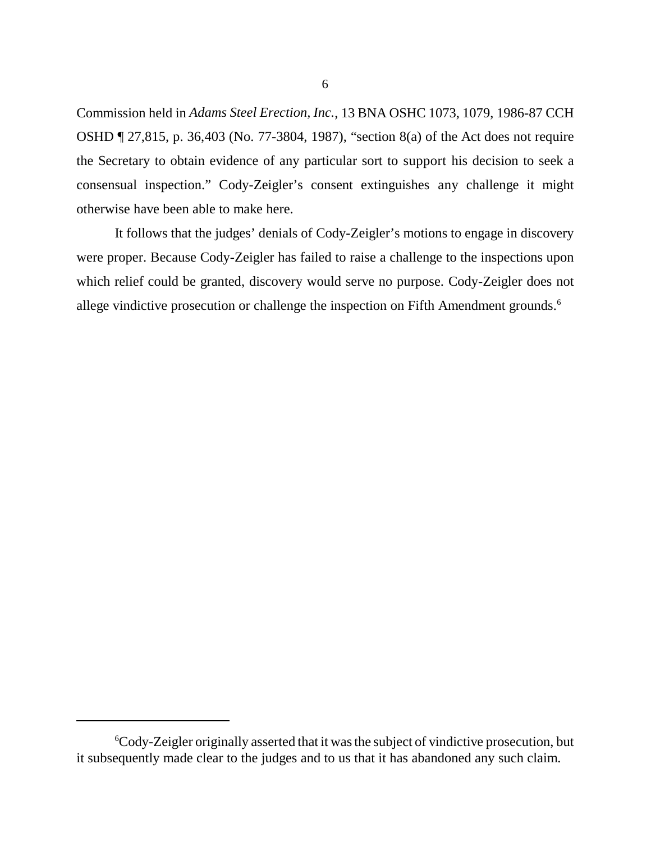Commission held in *Adams Steel Erection, Inc.*, 13 BNA OSHC 1073, 1079, 1986-87 CCH OSHD ¶ 27,815, p. 36,403 (No. 77-3804, 1987), "section 8(a) of the Act does not require the Secretary to obtain evidence of any particular sort to support his decision to seek a consensual inspection." Cody-Zeigler's consent extinguishes any challenge it might otherwise have been able to make here.

It follows that the judges' denials of Cody-Zeigler's motions to engage in discovery were proper. Because Cody-Zeigler has failed to raise a challenge to the inspections upon which relief could be granted, discovery would serve no purpose. Cody-Zeigler does not allege vindictive prosecution or challenge the inspection on Fifth Amendment grounds.<sup>6</sup>

<sup>6</sup> Cody-Zeigler originally asserted that it was the subject of vindictive prosecution, but it subsequently made clear to the judges and to us that it has abandoned any such claim.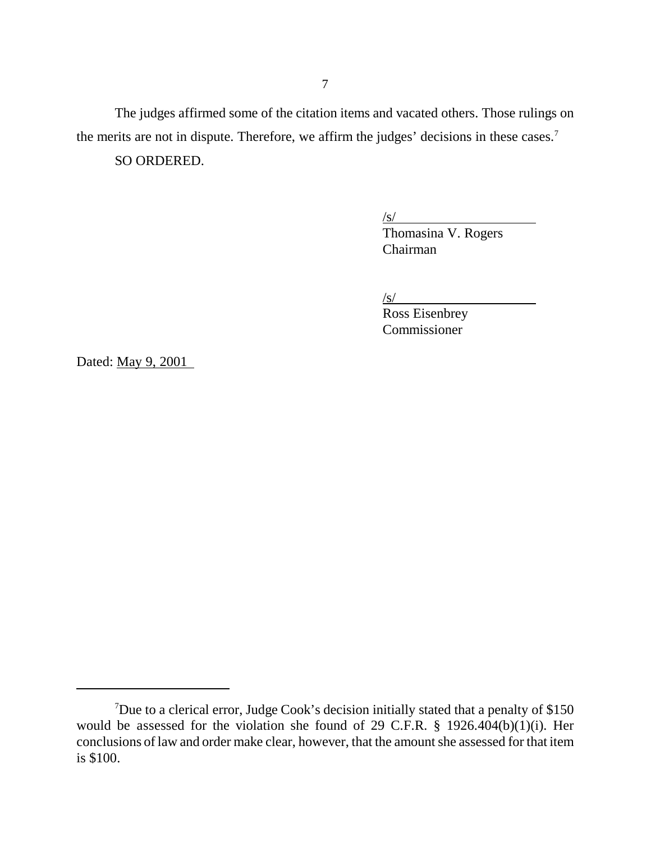The judges affirmed some of the citation items and vacated others. Those rulings on the merits are not in dispute. Therefore, we affirm the judges' decisions in these cases.<sup>7</sup>

SO ORDERED.

/s/

Thomasina V. Rogers Chairman

 $\sqrt{s}$ /

Ross Eisenbrey Commissioner

Dated: May 9, 2001

<sup>&</sup>lt;sup>7</sup>Due to a clerical error, Judge Cook's decision initially stated that a penalty of \$150 would be assessed for the violation she found of 29 C.F.R. § 1926.404(b)(1)(i). Her conclusions of law and order make clear, however, that the amount she assessed for that item is \$100.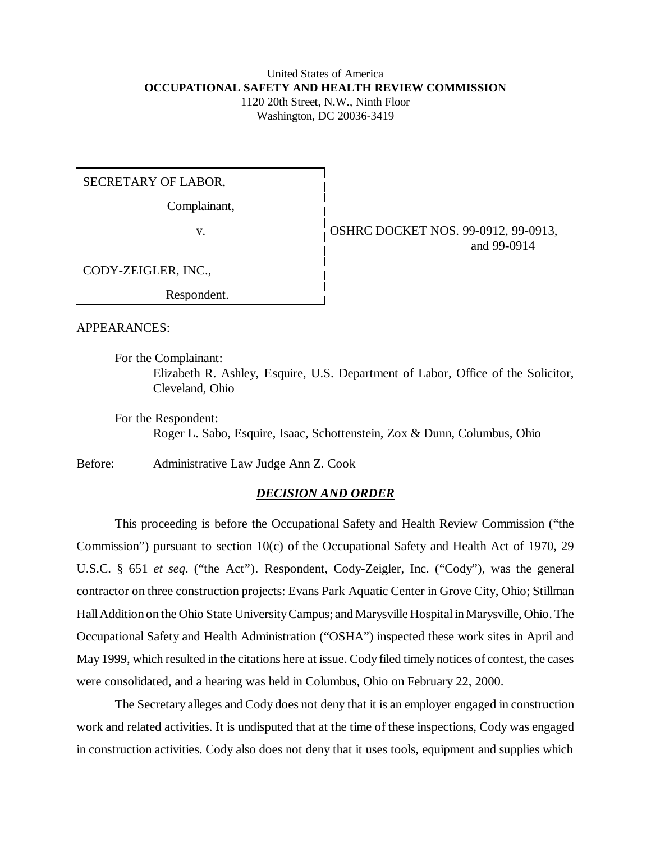# United States of America **OCCUPATIONAL SAFETY AND HEALTH REVIEW COMMISSION**

1120 20th Street, N.W., Ninth Floor Washington, DC 20036-3419

SECRETARY OF LABOR,

Complainant,

v. **OSHRC DOCKET NOS.** 99-0912, 99-0913, and 99-0914

CODY-ZEIGLER, INC.,

Respondent.

APPEARANCES:

For the Complainant:

Elizabeth R. Ashley, Esquire, U.S. Department of Labor, Office of the Solicitor, Cleveland, Ohio

For the Respondent:

Roger L. Sabo, Esquire, Isaac, Schottenstein, Zox & Dunn, Columbus, Ohio

Before: Administrative Law Judge Ann Z. Cook

# *DECISION AND ORDER*

This proceeding is before the Occupational Safety and Health Review Commission ("the Commission") pursuant to section 10(c) of the Occupational Safety and Health Act of 1970, 29 U.S.C. § 651 *et seq*. ("the Act"). Respondent, Cody-Zeigler, Inc. ("Cody"), was the general contractor on three construction projects: Evans Park Aquatic Center in Grove City, Ohio; Stillman Hall Addition on the Ohio State University Campus; and Marysville Hospital in Marysville, Ohio. The Occupational Safety and Health Administration ("OSHA") inspected these work sites in April and May 1999, which resulted in the citations here at issue. Cody filed timely notices of contest, the cases were consolidated, and a hearing was held in Columbus, Ohio on February 22, 2000.

The Secretary alleges and Cody does not deny that it is an employer engaged in construction work and related activities. It is undisputed that at the time of these inspections, Cody was engaged in construction activities. Cody also does not deny that it uses tools, equipment and supplies which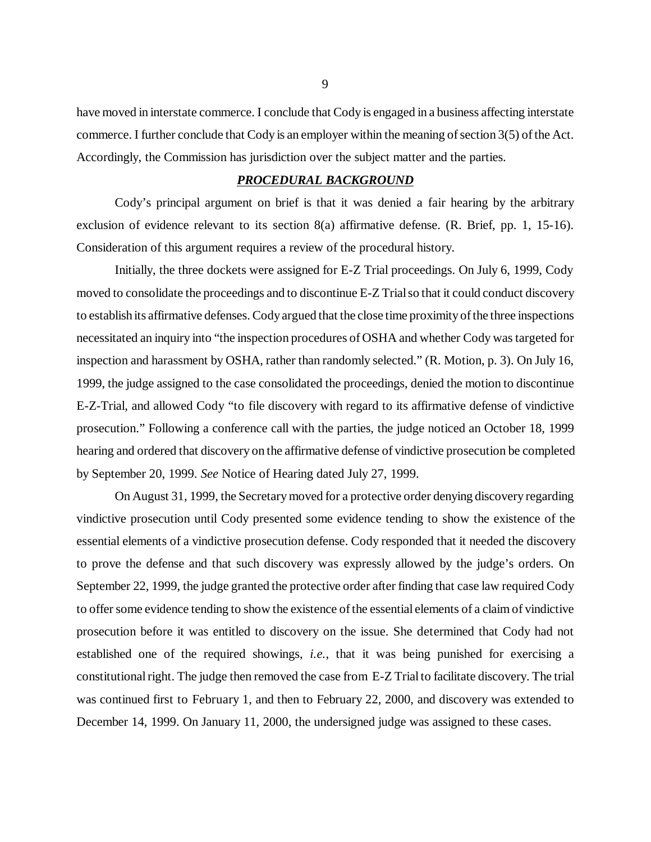have moved in interstate commerce. I conclude that Cody is engaged in a business affecting interstate commerce. I further conclude that Cody is an employer within the meaning of section 3(5) of the Act. Accordingly, the Commission has jurisdiction over the subject matter and the parties.

#### *PROCEDURAL BACKGROUND*

Cody's principal argument on brief is that it was denied a fair hearing by the arbitrary exclusion of evidence relevant to its section 8(a) affirmative defense. (R. Brief, pp. 1, 15-16). Consideration of this argument requires a review of the procedural history.

Initially, the three dockets were assigned for E-Z Trial proceedings. On July 6, 1999, Cody moved to consolidate the proceedings and to discontinue E-Z Trial so that it could conduct discovery to establish its affirmative defenses. Cody argued that the close time proximity of the three inspections necessitated an inquiry into "the inspection procedures of OSHA and whether Cody was targeted for inspection and harassment by OSHA, rather than randomly selected." (R. Motion, p. 3). On July 16, 1999, the judge assigned to the case consolidated the proceedings, denied the motion to discontinue E-Z-Trial, and allowed Cody "to file discovery with regard to its affirmative defense of vindictive prosecution." Following a conference call with the parties, the judge noticed an October 18, 1999 hearing and ordered that discovery on the affirmative defense of vindictive prosecution be completed by September 20, 1999. *See* Notice of Hearing dated July 27, 1999.

On August 31, 1999, the Secretary moved for a protective order denying discovery regarding vindictive prosecution until Cody presented some evidence tending to show the existence of the essential elements of a vindictive prosecution defense. Cody responded that it needed the discovery to prove the defense and that such discovery was expressly allowed by the judge's orders. On September 22, 1999, the judge granted the protective order after finding that case law required Cody to offer some evidence tending to show the existence of the essential elements of a claim of vindictive prosecution before it was entitled to discovery on the issue. She determined that Cody had not established one of the required showings, *i.e.*, that it was being punished for exercising a constitutional right. The judge then removed the case from E-Z Trial to facilitate discovery. The trial was continued first to February 1, and then to February 22, 2000, and discovery was extended to December 14, 1999. On January 11, 2000, the undersigned judge was assigned to these cases.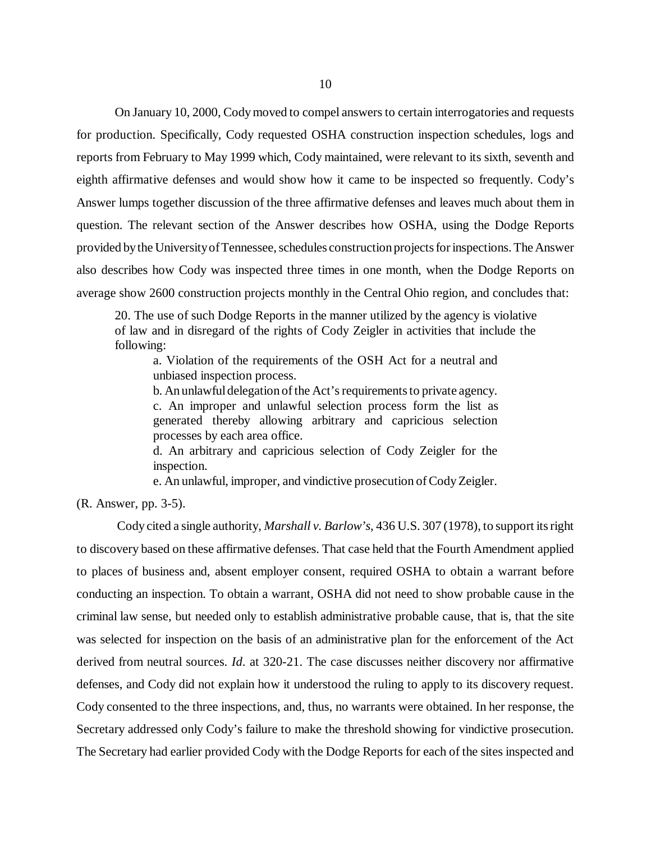On January 10, 2000, Cody moved to compel answers to certain interrogatories and requests for production. Specifically, Cody requested OSHA construction inspection schedules, logs and reports from February to May 1999 which, Cody maintained, were relevant to its sixth, seventh and eighth affirmative defenses and would show how it came to be inspected so frequently. Cody's Answer lumps together discussion of the three affirmative defenses and leaves much about them in question. The relevant section of the Answer describes how OSHA, using the Dodge Reports provided by the University of Tennessee, schedules construction projects for inspections. The Answer also describes how Cody was inspected three times in one month, when the Dodge Reports on average show 2600 construction projects monthly in the Central Ohio region, and concludes that:

20. The use of such Dodge Reports in the manner utilized by the agency is violative of law and in disregard of the rights of Cody Zeigler in activities that include the following:

a. Violation of the requirements of the OSH Act for a neutral and unbiased inspection process.

b. An unlawful delegation of the Act's requirements to private agency. c. An improper and unlawful selection process form the list as generated thereby allowing arbitrary and capricious selection processes by each area office.

d. An arbitrary and capricious selection of Cody Zeigler for the inspection.

e. An unlawful, improper, and vindictive prosecution of Cody Zeigler.

(R. Answer, pp. 3-5).

 Cody cited a single authority, *Marshall v. Barlow's*, 436 U.S. 307 (1978), to support its right to discovery based on these affirmative defenses. That case held that the Fourth Amendment applied to places of business and, absent employer consent, required OSHA to obtain a warrant before conducting an inspection. To obtain a warrant, OSHA did not need to show probable cause in the criminal law sense, but needed only to establish administrative probable cause, that is, that the site was selected for inspection on the basis of an administrative plan for the enforcement of the Act derived from neutral sources. *Id*. at 320-21. The case discusses neither discovery nor affirmative defenses, and Cody did not explain how it understood the ruling to apply to its discovery request. Cody consented to the three inspections, and, thus, no warrants were obtained. In her response, the Secretary addressed only Cody's failure to make the threshold showing for vindictive prosecution. The Secretary had earlier provided Cody with the Dodge Reports for each of the sites inspected and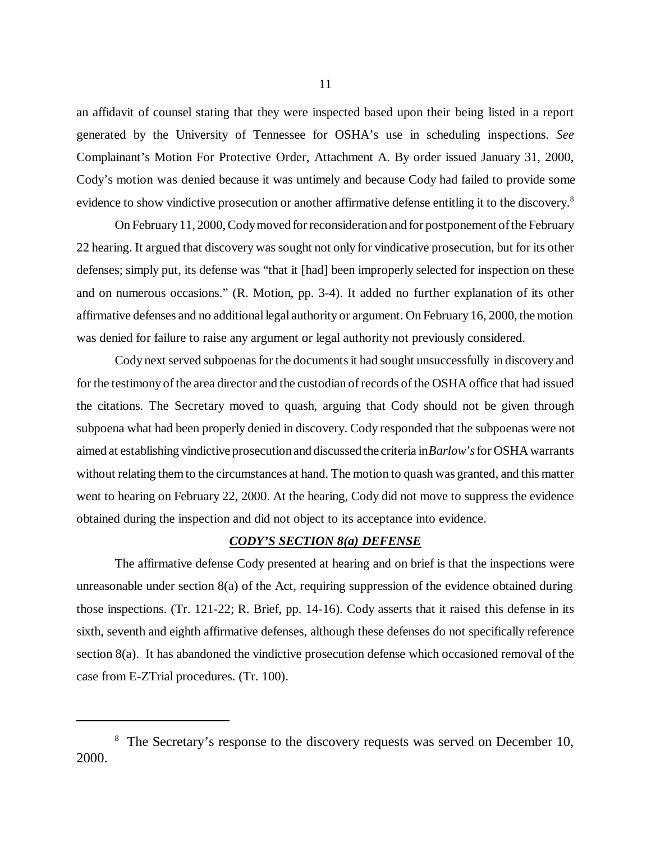an affidavit of counsel stating that they were inspected based upon their being listed in a report generated by the University of Tennessee for OSHA's use in scheduling inspections. *See* Complainant's Motion For Protective Order, Attachment A. By order issued January 31, 2000, Cody's motion was denied because it was untimely and because Cody had failed to provide some evidence to show vindictive prosecution or another affirmative defense entitling it to the discovery.<sup>8</sup>

On February 11, 2000, Cody moved for reconsideration and for postponement of the February 22 hearing. It argued that discovery was sought not only for vindicative prosecution, but for its other defenses; simply put, its defense was "that it [had] been improperly selected for inspection on these and on numerous occasions." (R. Motion, pp. 3-4). It added no further explanation of its other affirmative defenses and no additional legal authority or argument. On February 16, 2000, the motion was denied for failure to raise any argument or legal authority not previously considered.

Cody next served subpoenas for the documents it had sought unsuccessfully in discovery and for the testimony of the area director and the custodian of records of the OSHA office that had issued the citations. The Secretary moved to quash, arguing that Cody should not be given through subpoena what had been properly denied in discovery. Cody responded that the subpoenas were not aimed at establishing vindictive prosecution and discussed the criteria in *Barlow's* for OSHA warrants without relating them to the circumstances at hand. The motion to quash was granted, and this matter went to hearing on February 22, 2000. At the hearing, Cody did not move to suppress the evidence obtained during the inspection and did not object to its acceptance into evidence.

#### *CODY'S SECTION 8(a) DEFENSE*

The affirmative defense Cody presented at hearing and on brief is that the inspections were unreasonable under section 8(a) of the Act, requiring suppression of the evidence obtained during those inspections. (Tr. 121-22; R. Brief, pp. 14-16). Cody asserts that it raised this defense in its sixth, seventh and eighth affirmative defenses, although these defenses do not specifically reference section 8(a). It has abandoned the vindictive prosecution defense which occasioned removal of the case from E-ZTrial procedures. (Tr. 100).

<sup>&</sup>lt;sup>8</sup> The Secretary's response to the discovery requests was served on December 10, 2000.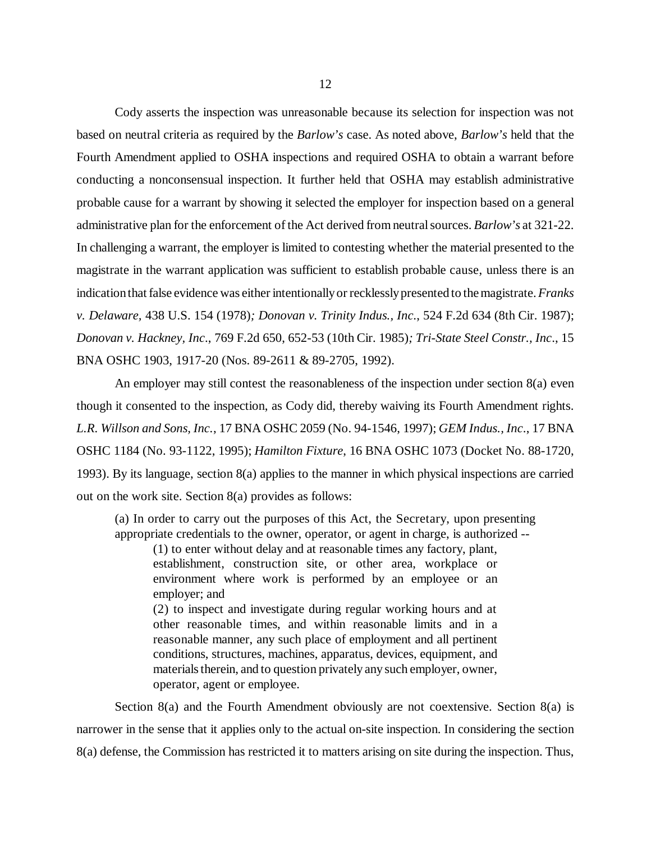Cody asserts the inspection was unreasonable because its selection for inspection was not based on neutral criteria as required by the *Barlow's* case. As noted above, *Barlow's* held that the Fourth Amendment applied to OSHA inspections and required OSHA to obtain a warrant before conducting a nonconsensual inspection. It further held that OSHA may establish administrative probable cause for a warrant by showing it selected the employer for inspection based on a general administrative plan for the enforcement of the Act derived from neutral sources. *Barlow's* at 321-22. In challenging a warrant, the employer is limited to contesting whether the material presented to the magistrate in the warrant application was sufficient to establish probable cause, unless there is an indication that false evidence was either intentionally or recklessly presented to the magistrate. *Franks v. Delaware,* 438 U.S. 154 (1978)*; Donovan v. Trinity Indus., Inc*., 524 F.2d 634 (8th Cir. 1987); *Donovan v. Hackney, Inc*., 769 F.2d 650, 652-53 (10th Cir. 1985)*; Tri-State Steel Constr., Inc*., 15 BNA OSHC 1903, 1917-20 (Nos. 89-2611 & 89-2705, 1992).

An employer may still contest the reasonableness of the inspection under section 8(a) even though it consented to the inspection, as Cody did, thereby waiving its Fourth Amendment rights. *L.R. Willson and Sons, Inc.*, 17 BNA OSHC 2059 (No. 94-1546, 1997); *GEM Indus., Inc*., 17 BNA OSHC 1184 (No. 93-1122, 1995); *Hamilton Fixture*, 16 BNA OSHC 1073 (Docket No. 88-1720, 1993). By its language, section 8(a) applies to the manner in which physical inspections are carried out on the work site. Section 8(a) provides as follows:

(a) In order to carry out the purposes of this Act, the Secretary, upon presenting appropriate credentials to the owner, operator, or agent in charge, is authorized --

(1) to enter without delay and at reasonable times any factory, plant, establishment, construction site, or other area, workplace or environment where work is performed by an employee or an employer; and

(2) to inspect and investigate during regular working hours and at other reasonable times, and within reasonable limits and in a reasonable manner, any such place of employment and all pertinent conditions, structures, machines, apparatus, devices, equipment, and materials therein, and to question privately any such employer, owner, operator, agent or employee.

Section 8(a) and the Fourth Amendment obviously are not coextensive. Section 8(a) is narrower in the sense that it applies only to the actual on-site inspection. In considering the section 8(a) defense, the Commission has restricted it to matters arising on site during the inspection. Thus,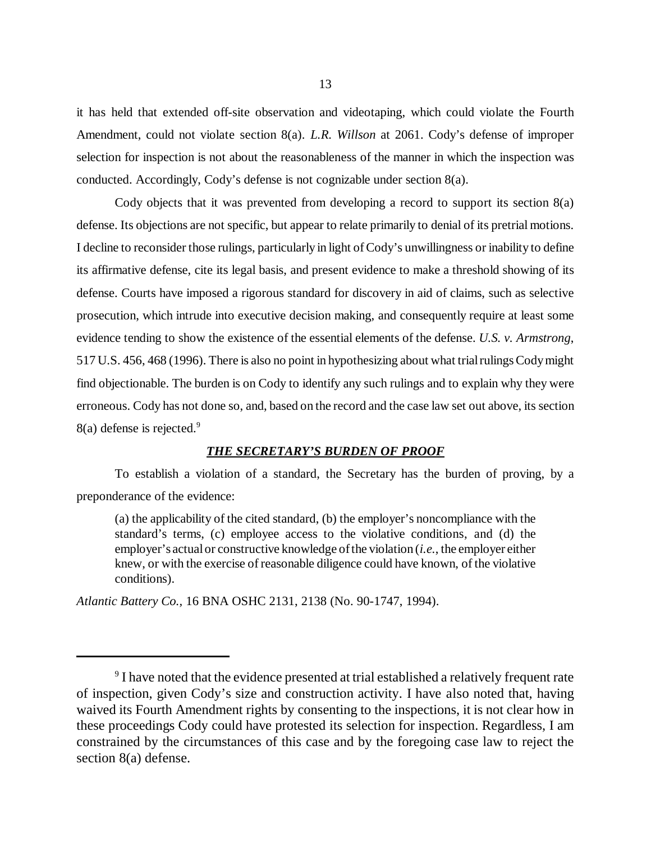it has held that extended off-site observation and videotaping, which could violate the Fourth Amendment, could not violate section 8(a). *L.R. Willson* at 2061. Cody's defense of improper selection for inspection is not about the reasonableness of the manner in which the inspection was conducted. Accordingly, Cody's defense is not cognizable under section 8(a).

Cody objects that it was prevented from developing a record to support its section 8(a) defense. Its objections are not specific, but appear to relate primarily to denial of its pretrial motions. I decline to reconsider those rulings, particularly in light of Cody's unwillingness or inability to define its affirmative defense, cite its legal basis, and present evidence to make a threshold showing of its defense. Courts have imposed a rigorous standard for discovery in aid of claims, such as selective prosecution, which intrude into executive decision making, and consequently require at least some evidence tending to show the existence of the essential elements of the defense. *U.S. v. Armstrong*, 517 U.S. 456, 468 (1996). There is also no point in hypothesizing about what trial rulings Cody might find objectionable. The burden is on Cody to identify any such rulings and to explain why they were erroneous. Cody has not done so, and, based on the record and the case law set out above, its section  $8(a)$  defense is rejected.<sup>9</sup>

## *THE SECRETARY'S BURDEN OF PROOF*

To establish a violation of a standard, the Secretary has the burden of proving, by a preponderance of the evidence:

(a) the applicability of the cited standard, (b) the employer's noncompliance with the standard's terms, (c) employee access to the violative conditions, and (d) the employer's actual or constructive knowledge of the violation (*i.e.*, the employer either knew, or with the exercise of reasonable diligence could have known, of the violative conditions).

*Atlantic Battery Co.,* 16 BNA OSHC 2131, 2138 (No. 90-1747, 1994).

<sup>&</sup>lt;sup>9</sup> I have noted that the evidence presented at trial established a relatively frequent rate of inspection, given Cody's size and construction activity. I have also noted that, having waived its Fourth Amendment rights by consenting to the inspections, it is not clear how in these proceedings Cody could have protested its selection for inspection. Regardless, I am constrained by the circumstances of this case and by the foregoing case law to reject the section 8(a) defense.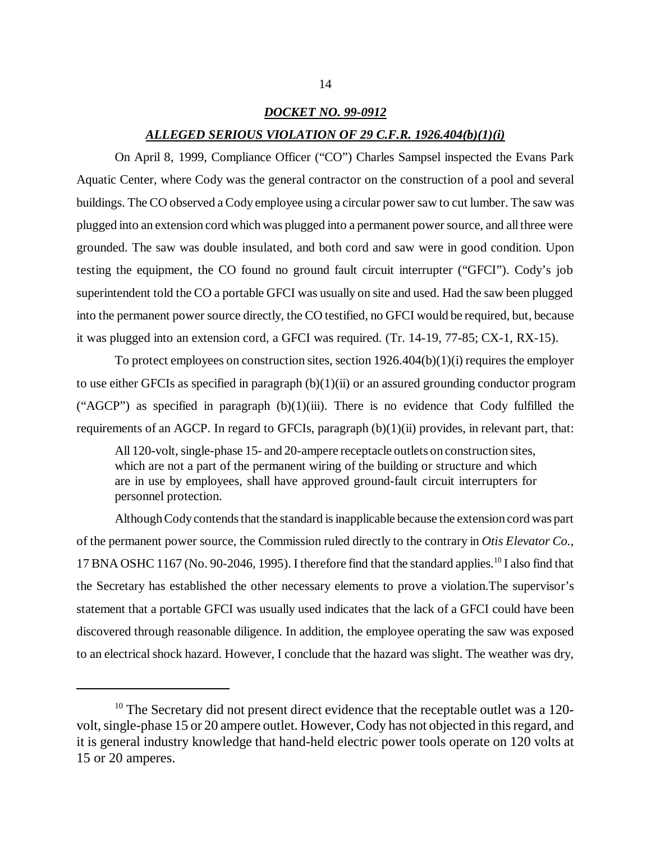#### *DOCKET NO. 99-0912*

#### *ALLEGED SERIOUS VIOLATION OF 29 C.F.R. 1926.404(b)(1)(i)*

On April 8, 1999, Compliance Officer ("CO") Charles Sampsel inspected the Evans Park Aquatic Center, where Cody was the general contractor on the construction of a pool and several buildings. The CO observed a Cody employee using a circular power saw to cut lumber. The saw was plugged into an extension cord which was plugged into a permanent power source, and all three were grounded. The saw was double insulated, and both cord and saw were in good condition. Upon testing the equipment, the CO found no ground fault circuit interrupter ("GFCI"). Cody's job superintendent told the CO a portable GFCI was usually on site and used. Had the saw been plugged into the permanent power source directly, the CO testified, no GFCI would be required, but, because it was plugged into an extension cord, a GFCI was required. (Tr. 14-19, 77-85; CX-1, RX-15).

To protect employees on construction sites, section 1926.404(b)(1)(i) requires the employer to use either GFCIs as specified in paragraph (b)(1)(ii) or an assured grounding conductor program ("AGCP") as specified in paragraph  $(b)(1)(iii)$ . There is no evidence that Cody fulfilled the requirements of an AGCP. In regard to GFCIs, paragraph (b)(1)(ii) provides, in relevant part, that:

All 120-volt, single-phase 15- and 20-ampere receptacle outlets on construction sites, which are not a part of the permanent wiring of the building or structure and which are in use by employees, shall have approved ground-fault circuit interrupters for personnel protection.

Although Cody contends that the standard is inapplicable because the extension cord was part of the permanent power source, the Commission ruled directly to the contrary in *Otis Elevator Co.*, 17 BNA OSHC 1167 (No. 90-2046, 1995). I therefore find that the standard applies.10 I also find that the Secretary has established the other necessary elements to prove a violation.The supervisor's statement that a portable GFCI was usually used indicates that the lack of a GFCI could have been discovered through reasonable diligence. In addition, the employee operating the saw was exposed to an electrical shock hazard. However, I conclude that the hazard was slight. The weather was dry,

<sup>&</sup>lt;sup>10</sup> The Secretary did not present direct evidence that the receptable outlet was a 120volt, single-phase 15 or 20 ampere outlet. However, Cody has not objected in this regard, and it is general industry knowledge that hand-held electric power tools operate on 120 volts at 15 or 20 amperes.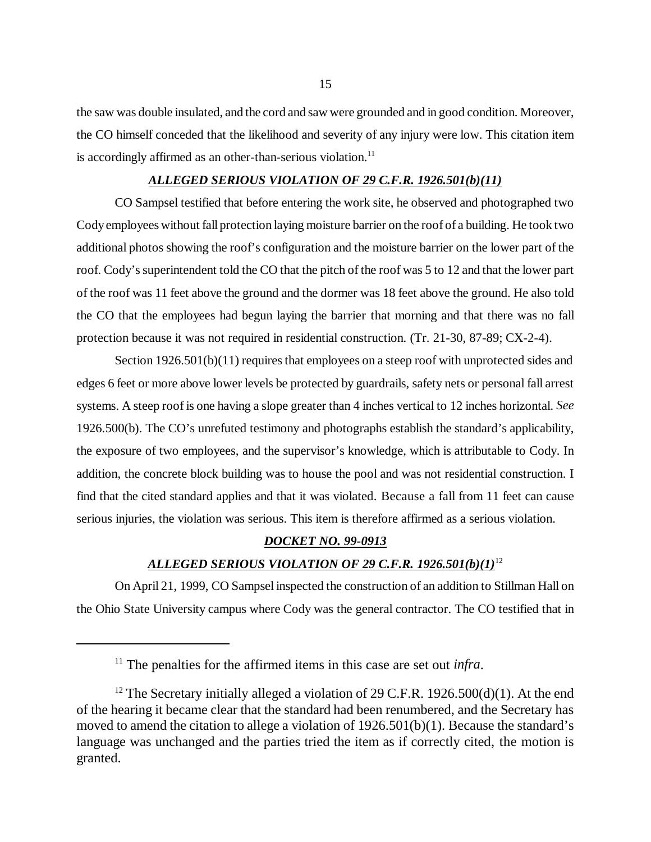the saw was double insulated, and the cord and saw were grounded and in good condition. Moreover, the CO himself conceded that the likelihood and severity of any injury were low. This citation item is accordingly affirmed as an other-than-serious violation.<sup>11</sup>

## *ALLEGED SERIOUS VIOLATION OF 29 C.F.R. 1926.501(b)(11)*

CO Sampsel testified that before entering the work site, he observed and photographed two Cody employees without fall protection laying moisture barrier on the roof of a building. He took two additional photos showing the roof's configuration and the moisture barrier on the lower part of the roof. Cody's superintendent told the CO that the pitch of the roof was 5 to 12 and that the lower part of the roof was 11 feet above the ground and the dormer was 18 feet above the ground. He also told the CO that the employees had begun laying the barrier that morning and that there was no fall protection because it was not required in residential construction. (Tr. 21-30, 87-89; CX-2-4).

Section 1926.501(b)(11) requires that employees on a steep roof with unprotected sides and edges 6 feet or more above lower levels be protected by guardrails, safety nets or personal fall arrest systems. A steep roof is one having a slope greater than 4 inches vertical to 12 inches horizontal. *See* 1926.500(b). The CO's unrefuted testimony and photographs establish the standard's applicability, the exposure of two employees, and the supervisor's knowledge, which is attributable to Cody. In addition, the concrete block building was to house the pool and was not residential construction. I find that the cited standard applies and that it was violated. Because a fall from 11 feet can cause serious injuries, the violation was serious. This item is therefore affirmed as a serious violation.

#### *DOCKET NO. 99-0913*

## *ALLEGED SERIOUS VIOLATION OF 29 C.F.R. 1926.501(b)(1)*<sup>12</sup>

On April 21, 1999, CO Sampsel inspected the construction of an addition to Stillman Hall on the Ohio State University campus where Cody was the general contractor. The CO testified that in

<sup>&</sup>lt;sup>11</sup> The penalties for the affirmed items in this case are set out *infra*.

<sup>&</sup>lt;sup>12</sup> The Secretary initially alleged a violation of 29 C.F.R. 1926.500(d)(1). At the end of the hearing it became clear that the standard had been renumbered, and the Secretary has moved to amend the citation to allege a violation of 1926.501(b)(1). Because the standard's language was unchanged and the parties tried the item as if correctly cited, the motion is granted.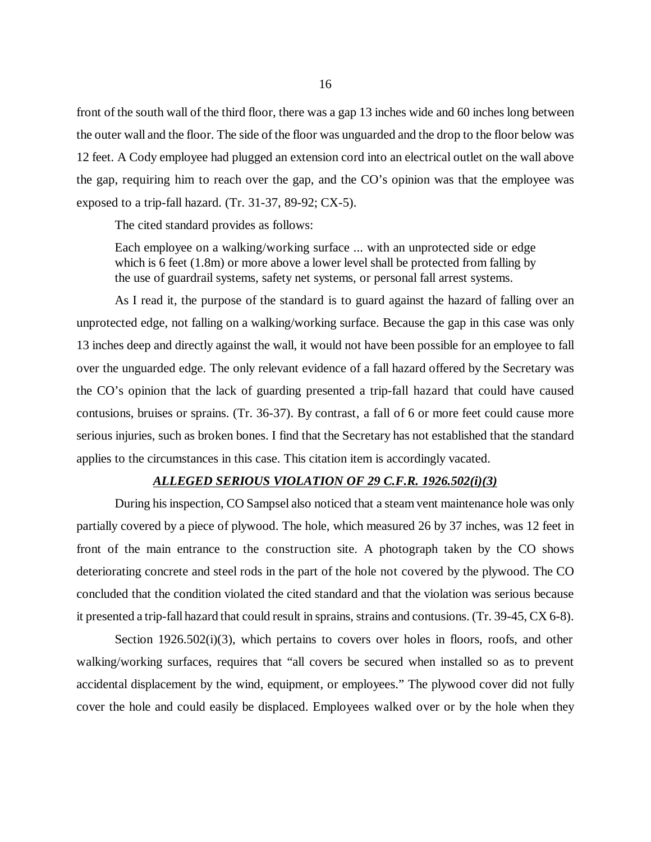front of the south wall of the third floor, there was a gap 13 inches wide and 60 inches long between the outer wall and the floor. The side of the floor was unguarded and the drop to the floor below was 12 feet. A Cody employee had plugged an extension cord into an electrical outlet on the wall above the gap, requiring him to reach over the gap, and the CO's opinion was that the employee was exposed to a trip-fall hazard. (Tr. 31-37, 89-92; CX-5).

The cited standard provides as follows:

Each employee on a walking/working surface ... with an unprotected side or edge which is 6 feet (1.8m) or more above a lower level shall be protected from falling by the use of guardrail systems, safety net systems, or personal fall arrest systems.

As I read it, the purpose of the standard is to guard against the hazard of falling over an unprotected edge, not falling on a walking/working surface. Because the gap in this case was only 13 inches deep and directly against the wall, it would not have been possible for an employee to fall over the unguarded edge. The only relevant evidence of a fall hazard offered by the Secretary was the CO's opinion that the lack of guarding presented a trip-fall hazard that could have caused contusions, bruises or sprains. (Tr. 36-37). By contrast, a fall of 6 or more feet could cause more serious injuries, such as broken bones. I find that the Secretary has not established that the standard applies to the circumstances in this case. This citation item is accordingly vacated.

#### *ALLEGED SERIOUS VIOLATION OF 29 C.F.R. 1926.502(i)(3)*

During his inspection, CO Sampsel also noticed that a steam vent maintenance hole was only partially covered by a piece of plywood. The hole, which measured 26 by 37 inches, was 12 feet in front of the main entrance to the construction site. A photograph taken by the CO shows deteriorating concrete and steel rods in the part of the hole not covered by the plywood. The CO concluded that the condition violated the cited standard and that the violation was serious because it presented a trip-fall hazard that could result in sprains, strains and contusions. (Tr. 39-45, CX 6-8).

Section 1926.502(i)(3), which pertains to covers over holes in floors, roofs, and other walking/working surfaces, requires that "all covers be secured when installed so as to prevent accidental displacement by the wind, equipment, or employees." The plywood cover did not fully cover the hole and could easily be displaced. Employees walked over or by the hole when they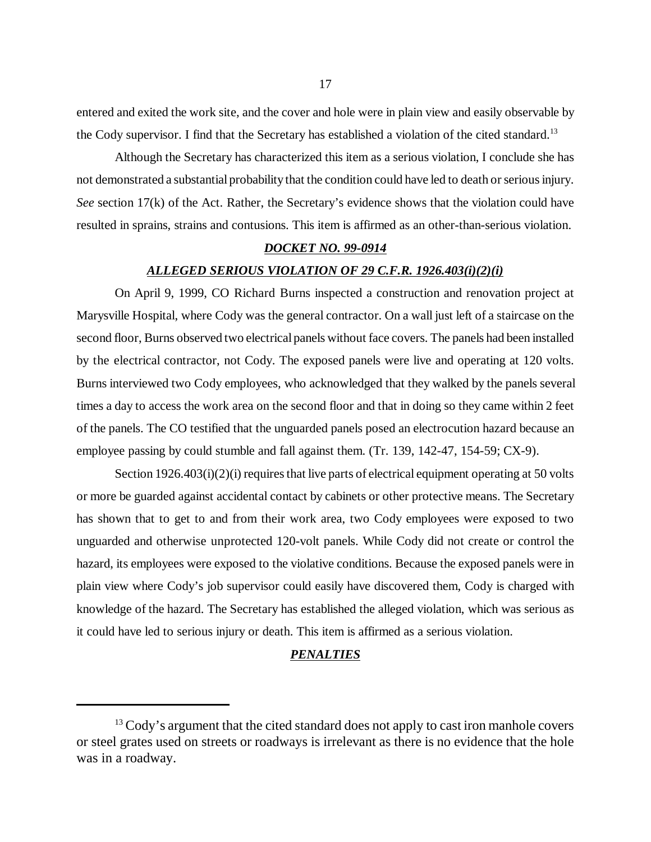entered and exited the work site, and the cover and hole were in plain view and easily observable by the Cody supervisor. I find that the Secretary has established a violation of the cited standard.<sup>13</sup>

Although the Secretary has characterized this item as a serious violation, I conclude she has not demonstrated a substantial probability that the condition could have led to death or serious injury. *See* section 17(k) of the Act. Rather, the Secretary's evidence shows that the violation could have resulted in sprains, strains and contusions. This item is affirmed as an other-than-serious violation.

## *DOCKET NO. 99-0914*

### *ALLEGED SERIOUS VIOLATION OF 29 C.F.R. 1926.403(i)(2)(i)*

On April 9, 1999, CO Richard Burns inspected a construction and renovation project at Marysville Hospital, where Cody was the general contractor. On a wall just left of a staircase on the second floor, Burns observed two electrical panels without face covers. The panels had been installed by the electrical contractor, not Cody. The exposed panels were live and operating at 120 volts. Burns interviewed two Cody employees, who acknowledged that they walked by the panels several times a day to access the work area on the second floor and that in doing so they came within 2 feet of the panels. The CO testified that the unguarded panels posed an electrocution hazard because an employee passing by could stumble and fall against them. (Tr. 139, 142-47, 154-59; CX-9).

Section 1926.403(i)(2)(i) requires that live parts of electrical equipment operating at 50 volts or more be guarded against accidental contact by cabinets or other protective means. The Secretary has shown that to get to and from their work area, two Cody employees were exposed to two unguarded and otherwise unprotected 120-volt panels. While Cody did not create or control the hazard, its employees were exposed to the violative conditions. Because the exposed panels were in plain view where Cody's job supervisor could easily have discovered them, Cody is charged with knowledge of the hazard. The Secretary has established the alleged violation, which was serious as it could have led to serious injury or death. This item is affirmed as a serious violation.

# *PENALTIES*

<sup>&</sup>lt;sup>13</sup> Cody's argument that the cited standard does not apply to cast iron manhole covers or steel grates used on streets or roadways is irrelevant as there is no evidence that the hole was in a roadway.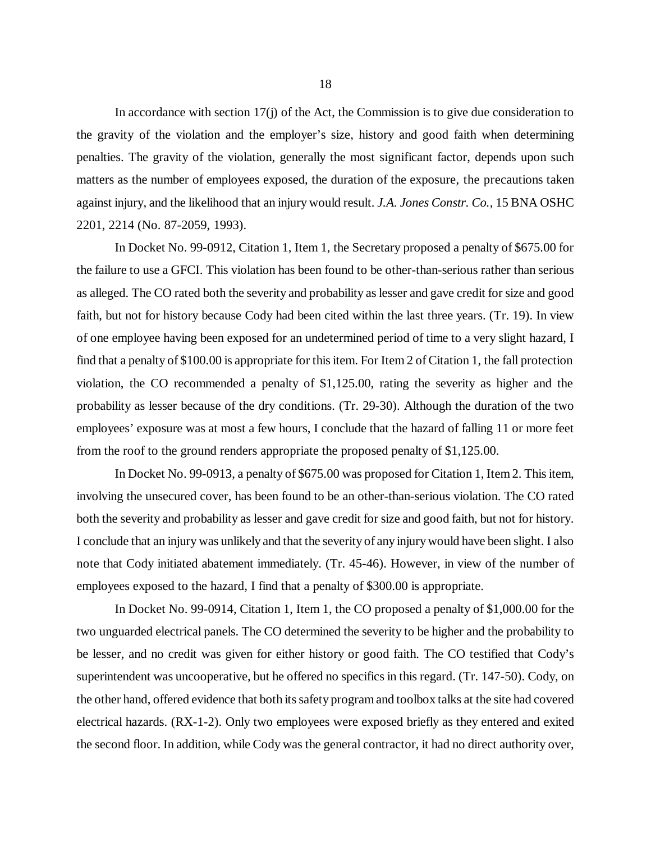In accordance with section 17(j) of the Act, the Commission is to give due consideration to the gravity of the violation and the employer's size, history and good faith when determining penalties. The gravity of the violation, generally the most significant factor, depends upon such matters as the number of employees exposed, the duration of the exposure, the precautions taken against injury, and the likelihood that an injury would result. *J.A. Jones Constr. Co.*, 15 BNA OSHC 2201, 2214 (No. 87-2059, 1993).

In Docket No. 99-0912, Citation 1, Item 1, the Secretary proposed a penalty of \$675.00 for the failure to use a GFCI. This violation has been found to be other-than-serious rather than serious as alleged. The CO rated both the severity and probability as lesser and gave credit for size and good faith, but not for history because Cody had been cited within the last three years. (Tr. 19). In view of one employee having been exposed for an undetermined period of time to a very slight hazard, I find that a penalty of \$100.00 is appropriate for this item. For Item 2 of Citation 1, the fall protection violation, the CO recommended a penalty of \$1,125.00, rating the severity as higher and the probability as lesser because of the dry conditions. (Tr. 29-30). Although the duration of the two employees' exposure was at most a few hours, I conclude that the hazard of falling 11 or more feet from the roof to the ground renders appropriate the proposed penalty of \$1,125.00.

In Docket No. 99-0913, a penalty of \$675.00 was proposed for Citation 1, Item 2. This item, involving the unsecured cover, has been found to be an other-than-serious violation. The CO rated both the severity and probability as lesser and gave credit for size and good faith, but not for history. I conclude that an injury was unlikely and that the severity of any injury would have been slight. I also note that Cody initiated abatement immediately. (Tr. 45-46). However, in view of the number of employees exposed to the hazard, I find that a penalty of \$300.00 is appropriate.

In Docket No. 99-0914, Citation 1, Item 1, the CO proposed a penalty of \$1,000.00 for the two unguarded electrical panels. The CO determined the severity to be higher and the probability to be lesser, and no credit was given for either history or good faith. The CO testified that Cody's superintendent was uncooperative, but he offered no specifics in this regard. (Tr. 147-50). Cody, on the other hand, offered evidence that both its safety program and toolbox talks at the site had covered electrical hazards. (RX-1-2). Only two employees were exposed briefly as they entered and exited the second floor. In addition, while Cody was the general contractor, it had no direct authority over,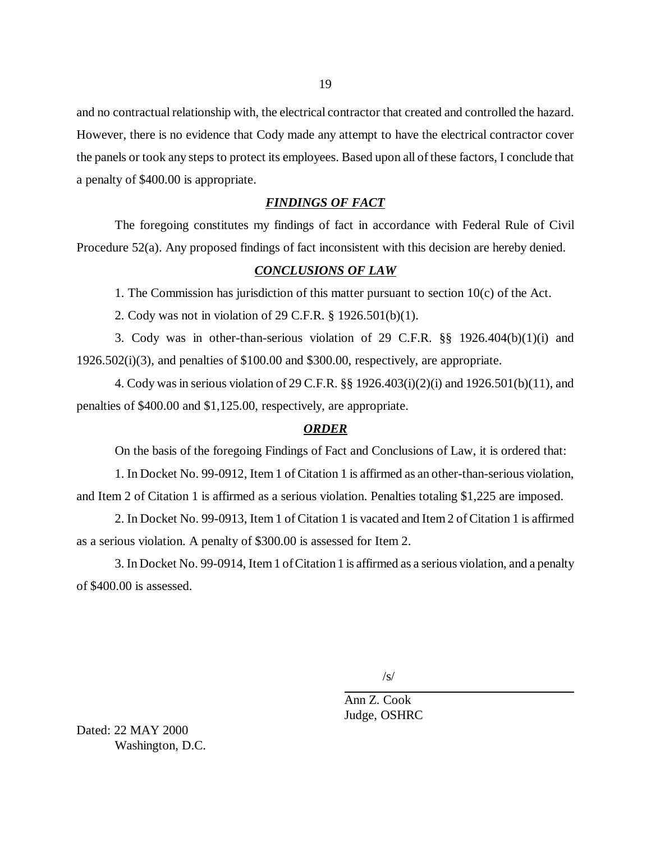and no contractual relationship with, the electrical contractor that created and controlled the hazard. However, there is no evidence that Cody made any attempt to have the electrical contractor cover the panels or took any steps to protect its employees. Based upon all of these factors, I conclude that a penalty of \$400.00 is appropriate.

## *FINDINGS OF FACT*

The foregoing constitutes my findings of fact in accordance with Federal Rule of Civil Procedure 52(a). Any proposed findings of fact inconsistent with this decision are hereby denied.

# *CONCLUSIONS OF LAW*

1. The Commission has jurisdiction of this matter pursuant to section  $10(c)$  of the Act.

2. Cody was not in violation of 29 C.F.R. § 1926.501(b)(1).

3. Cody was in other-than-serious violation of 29 C.F.R. §§ 1926.404(b)(1)(i) and 1926.502(i)(3), and penalties of \$100.00 and \$300.00, respectively, are appropriate.

4. Cody was in serious violation of 29 C.F.R. §§ 1926.403(i)(2)(i) and 1926.501(b)(11), and penalties of \$400.00 and \$1,125.00, respectively, are appropriate.

## *ORDER*

On the basis of the foregoing Findings of Fact and Conclusions of Law, it is ordered that:

1. In Docket No. 99-0912, Item 1 of Citation 1 is affirmed as an other-than-serious violation, and Item 2 of Citation 1 is affirmed as a serious violation. Penalties totaling \$1,225 are imposed.

2. In Docket No. 99-0913, Item 1 of Citation 1 is vacated and Item 2 of Citation 1 is affirmed as a serious violation. A penalty of \$300.00 is assessed for Item 2.

3. In Docket No. 99-0914, Item 1 of Citation 1 is affirmed as a serious violation, and a penalty of \$400.00 is assessed.

 $\sqrt{s}$ 

Ann Z. Cook Judge, OSHRC

Dated: 22 MAY 2000 Washington, D.C.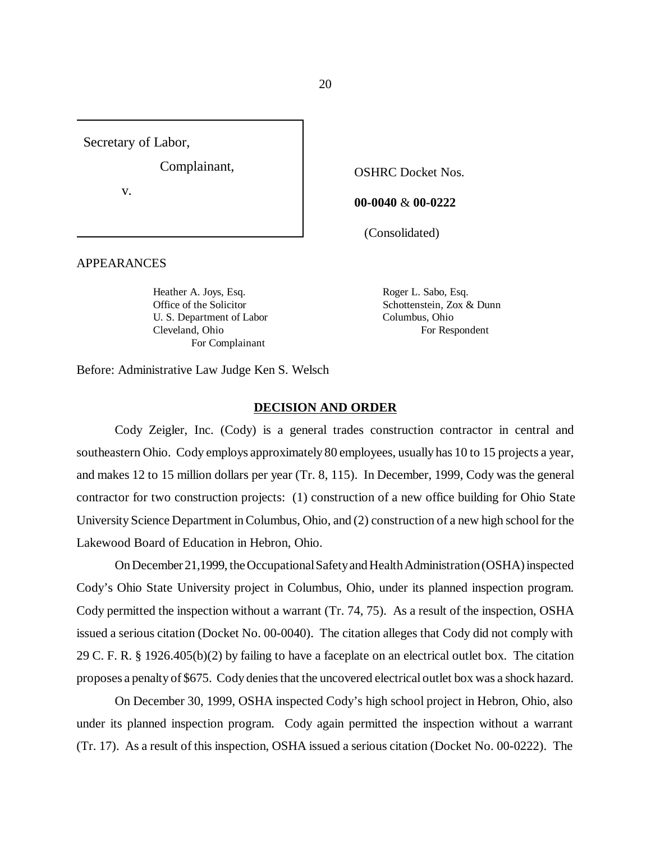Secretary of Labor,

Complainant,

v.

APPEARANCES

Heather A. Joys, Esq. Roger L. Sabo, Esq. U. S. Department of Labor Columbus, Ohio Cleveland, Ohio For Respondent For Complainant

**00-0040** & **00-0222**

OSHRC Docket Nos.

(Consolidated)

Office of the Solicitor Schottenstein, Zox & Dunn

Before: Administrative Law Judge Ken S. Welsch

#### **DECISION AND ORDER**

Cody Zeigler, Inc. (Cody) is a general trades construction contractor in central and southeastern Ohio. Cody employs approximately 80 employees, usually has 10 to 15 projects a year, and makes 12 to 15 million dollars per year (Tr. 8, 115). In December, 1999, Cody was the general contractor for two construction projects: (1) construction of a new office building for Ohio State University Science Department in Columbus, Ohio, and (2) construction of a new high school for the Lakewood Board of Education in Hebron, Ohio.

On December 21,1999, the Occupational Safety and Health Administration (OSHA) inspected Cody's Ohio State University project in Columbus, Ohio, under its planned inspection program. Cody permitted the inspection without a warrant (Tr. 74, 75). As a result of the inspection, OSHA issued a serious citation (Docket No. 00-0040). The citation alleges that Cody did not comply with 29 C. F. R. § 1926.405(b)(2) by failing to have a faceplate on an electrical outlet box. The citation proposes a penalty of \$675. Cody denies that the uncovered electrical outlet box was a shock hazard.

On December 30, 1999, OSHA inspected Cody's high school project in Hebron, Ohio, also under its planned inspection program. Cody again permitted the inspection without a warrant (Tr. 17). As a result of this inspection, OSHA issued a serious citation (Docket No. 00-0222). The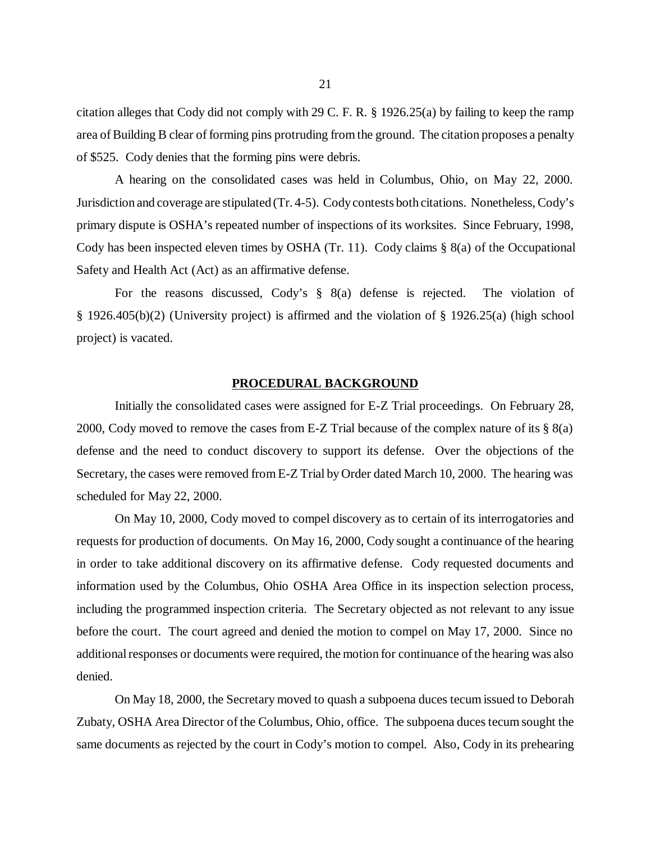citation alleges that Cody did not comply with 29 C. F. R. § 1926.25(a) by failing to keep the ramp area of Building B clear of forming pins protruding from the ground. The citation proposes a penalty of \$525. Cody denies that the forming pins were debris.

A hearing on the consolidated cases was held in Columbus, Ohio, on May 22, 2000. Jurisdiction and coverage are stipulated (Tr. 4-5). Cody contests both citations. Nonetheless, Cody's primary dispute is OSHA's repeated number of inspections of its worksites. Since February, 1998, Cody has been inspected eleven times by OSHA (Tr. 11). Cody claims § 8(a) of the Occupational Safety and Health Act (Act) as an affirmative defense.

For the reasons discussed, Cody's § 8(a) defense is rejected. The violation of § 1926.405(b)(2) (University project) is affirmed and the violation of § 1926.25(a) (high school project) is vacated.

#### **PROCEDURAL BACKGROUND**

Initially the consolidated cases were assigned for E-Z Trial proceedings. On February 28, 2000, Cody moved to remove the cases from E-Z Trial because of the complex nature of its § 8(a) defense and the need to conduct discovery to support its defense. Over the objections of the Secretary, the cases were removed from E-Z Trial by Order dated March 10, 2000. The hearing was scheduled for May 22, 2000.

On May 10, 2000, Cody moved to compel discovery as to certain of its interrogatories and requests for production of documents. On May 16, 2000, Cody sought a continuance of the hearing in order to take additional discovery on its affirmative defense. Cody requested documents and information used by the Columbus, Ohio OSHA Area Office in its inspection selection process, including the programmed inspection criteria. The Secretary objected as not relevant to any issue before the court. The court agreed and denied the motion to compel on May 17, 2000. Since no additional responses or documents were required, the motion for continuance of the hearing was also denied.

On May 18, 2000, the Secretary moved to quash a subpoena duces tecum issued to Deborah Zubaty, OSHA Area Director of the Columbus, Ohio, office. The subpoena duces tecum sought the same documents as rejected by the court in Cody's motion to compel. Also, Cody in its prehearing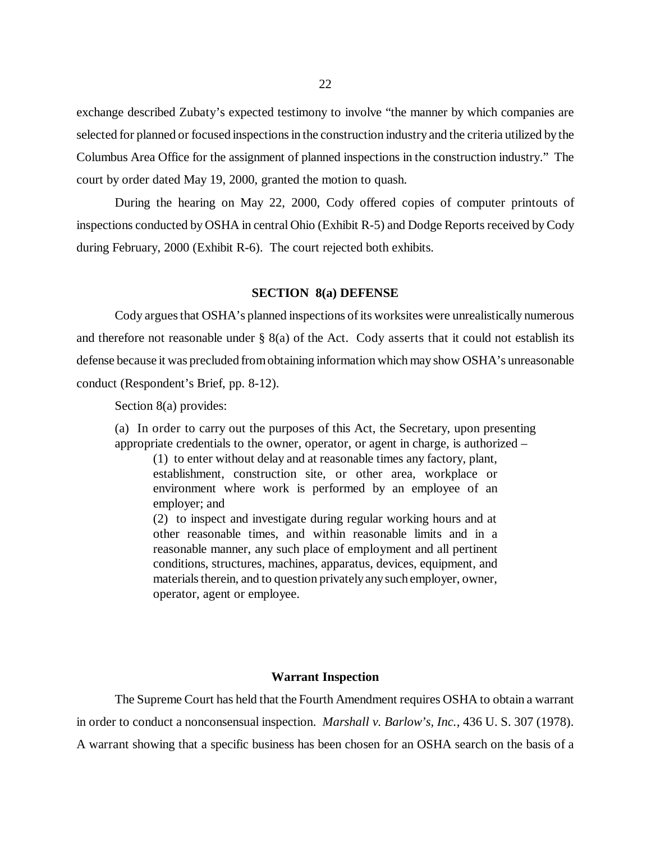exchange described Zubaty's expected testimony to involve "the manner by which companies are selected for planned or focused inspections in the construction industry and the criteria utilized by the Columbus Area Office for the assignment of planned inspections in the construction industry." The court by order dated May 19, 2000, granted the motion to quash.

During the hearing on May 22, 2000, Cody offered copies of computer printouts of inspections conducted by OSHA in central Ohio (Exhibit R-5) and Dodge Reports received by Cody during February, 2000 (Exhibit R-6). The court rejected both exhibits.

# **SECTION 8(a) DEFENSE**

Cody argues that OSHA's planned inspections of its worksites were unrealistically numerous and therefore not reasonable under  $\S$  8(a) of the Act. Cody asserts that it could not establish its defense because it was precluded from obtaining information which may show OSHA's unreasonable conduct (Respondent's Brief, pp. 8-12).

Section 8(a) provides:

(a) In order to carry out the purposes of this Act, the Secretary, upon presenting appropriate credentials to the owner, operator, or agent in charge, is authorized –

(1) to enter without delay and at reasonable times any factory, plant, establishment, construction site, or other area, workplace or environment where work is performed by an employee of an employer; and

(2) to inspect and investigate during regular working hours and at other reasonable times, and within reasonable limits and in a reasonable manner, any such place of employment and all pertinent conditions, structures, machines, apparatus, devices, equipment, and materials therein, and to question privately any such employer, owner, operator, agent or employee.

#### **Warrant Inspection**

The Supreme Court has held that the Fourth Amendment requires OSHA to obtain a warrant in order to conduct a nonconsensual inspection. *Marshall v. Barlow's, Inc.,* 436 U. S. 307 (1978). A warrant showing that a specific business has been chosen for an OSHA search on the basis of a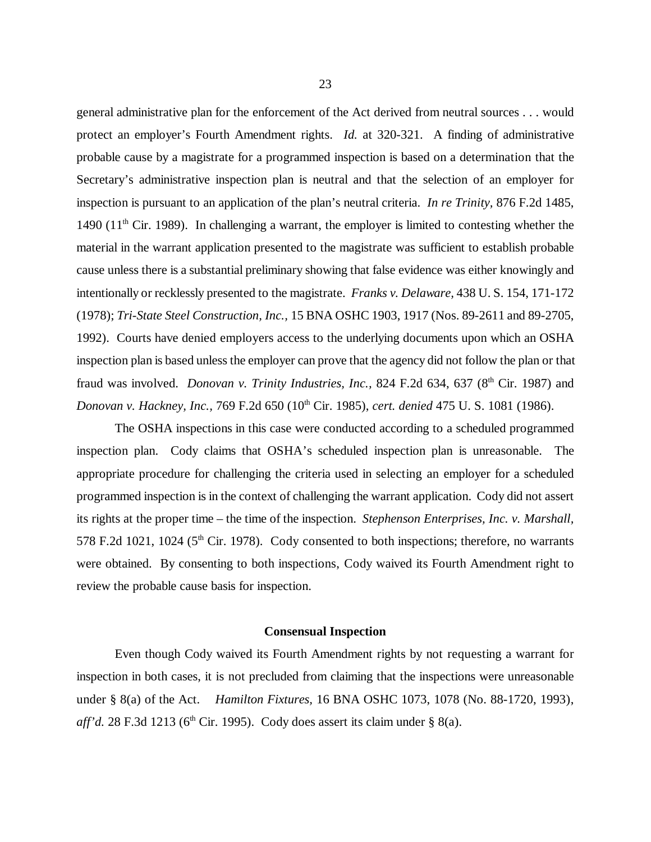general administrative plan for the enforcement of the Act derived from neutral sources . . . would protect an employer's Fourth Amendment rights. *Id.* at 320-321. A finding of administrative probable cause by a magistrate for a programmed inspection is based on a determination that the Secretary's administrative inspection plan is neutral and that the selection of an employer for inspection is pursuant to an application of the plan's neutral criteria. *In re Trinity,* 876 F.2d 1485, 1490 (11<sup>th</sup> Cir. 1989). In challenging a warrant, the employer is limited to contesting whether the material in the warrant application presented to the magistrate was sufficient to establish probable cause unless there is a substantial preliminary showing that false evidence was either knowingly and intentionally or recklessly presented to the magistrate. *Franks v. Delaware,* 438 U. S. 154, 171-172 (1978); *Tri-State Steel Construction, Inc.,* 15 BNA OSHC 1903, 1917 (Nos. 89-2611 and 89-2705, 1992). Courts have denied employers access to the underlying documents upon which an OSHA inspection plan is based unless the employer can prove that the agency did not follow the plan or that fraud was involved. *Donovan v. Trinity Industries, Inc.*, 824 F.2d 634, 637 (8<sup>th</sup> Cir. 1987) and *Donovan v. Hackney, Inc., 769 F.2d 650 (10<sup>th</sup> Cir. 1985), <i>cert. denied 475 U. S. 1081 (1986).* 

The OSHA inspections in this case were conducted according to a scheduled programmed inspection plan. Cody claims that OSHA's scheduled inspection plan is unreasonable. The appropriate procedure for challenging the criteria used in selecting an employer for a scheduled programmed inspection is in the context of challenging the warrant application. Cody did not assert its rights at the proper time – the time of the inspection. *Stephenson Enterprises, Inc. v. Marshall,* 578 F.2d 1021, 1024 ( $5<sup>th</sup>$  Cir. 1978). Cody consented to both inspections; therefore, no warrants were obtained. By consenting to both inspections, Cody waived its Fourth Amendment right to review the probable cause basis for inspection.

#### **Consensual Inspection**

Even though Cody waived its Fourth Amendment rights by not requesting a warrant for inspection in both cases, it is not precluded from claiming that the inspections were unreasonable under § 8(a) of the Act. *Hamilton Fixtures,* 16 BNA OSHC 1073, 1078 (No. 88-1720, 1993), *aff'd.* 28 F.3d 1213 (6<sup>th</sup> Cir. 1995). Cody does assert its claim under § 8(a).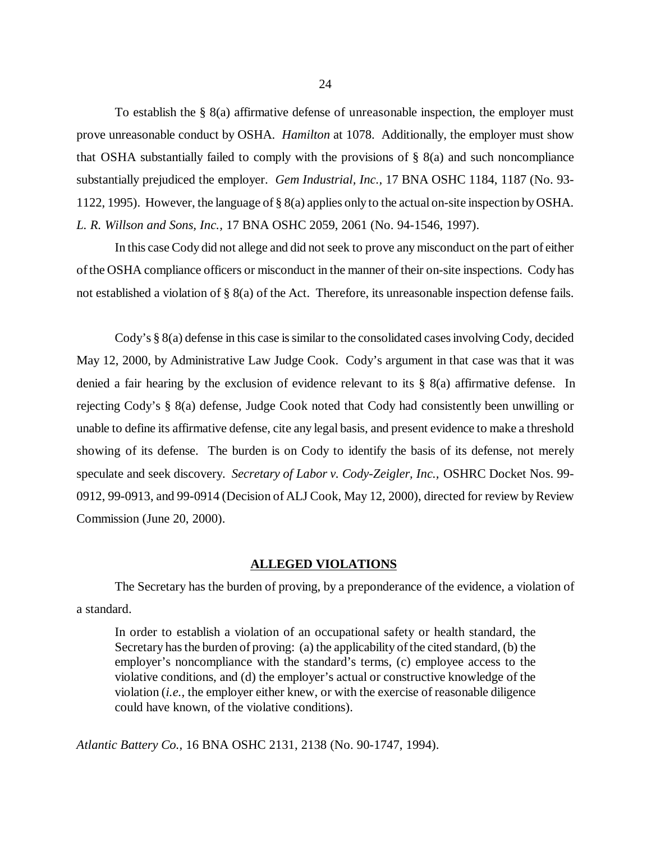To establish the  $\S$  8(a) affirmative defense of unreasonable inspection, the employer must prove unreasonable conduct by OSHA. *Hamilton* at 1078. Additionally, the employer must show that OSHA substantially failed to comply with the provisions of § 8(a) and such noncompliance substantially prejudiced the employer. *Gem Industrial, Inc.,* 17 BNA OSHC 1184, 1187 (No. 93- 1122, 1995). However, the language of § 8(a) applies only to the actual on-site inspection by OSHA. *L. R. Willson and Sons, Inc.,* 17 BNA OSHC 2059, 2061 (No. 94-1546, 1997).

In this case Cody did not allege and did not seek to prove any misconduct on the part of either of the OSHA compliance officers or misconduct in the manner of their on-site inspections. Cody has not established a violation of § 8(a) of the Act. Therefore, its unreasonable inspection defense fails.

Cody's § 8(a) defense in this case is similar to the consolidated cases involving Cody, decided May 12, 2000, by Administrative Law Judge Cook. Cody's argument in that case was that it was denied a fair hearing by the exclusion of evidence relevant to its  $\S$  8(a) affirmative defense. In rejecting Cody's § 8(a) defense, Judge Cook noted that Cody had consistently been unwilling or unable to define its affirmative defense, cite any legal basis, and present evidence to make a threshold showing of its defense. The burden is on Cody to identify the basis of its defense, not merely speculate and seek discovery. *Secretary of Labor v. Cody-Zeigler, Inc.,* OSHRC Docket Nos. 99- 0912, 99-0913, and 99-0914 (Decision of ALJ Cook, May 12, 2000), directed for review by Review Commission (June 20, 2000).

#### **ALLEGED VIOLATIONS**

The Secretary has the burden of proving, by a preponderance of the evidence, a violation of a standard.

In order to establish a violation of an occupational safety or health standard, the Secretary has the burden of proving: (a) the applicability of the cited standard, (b) the employer's noncompliance with the standard's terms, (c) employee access to the violative conditions, and (d) the employer's actual or constructive knowledge of the violation (*i.e.,* the employer either knew, or with the exercise of reasonable diligence could have known, of the violative conditions).

*Atlantic Battery Co.,* 16 BNA OSHC 2131, 2138 (No. 90-1747, 1994).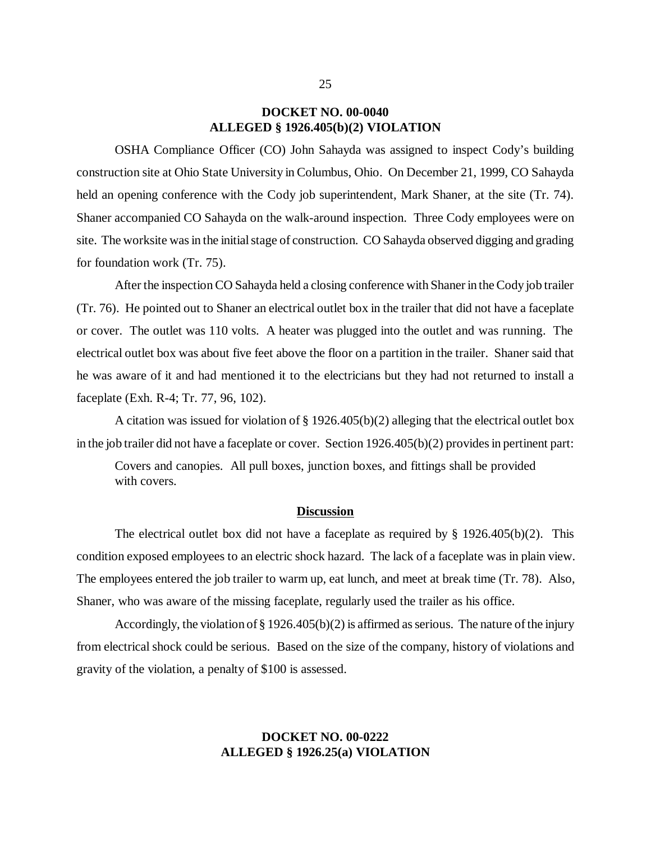# **DOCKET NO. 00-0040 ALLEGED § 1926.405(b)(2) VIOLATION**

OSHA Compliance Officer (CO) John Sahayda was assigned to inspect Cody's building construction site at Ohio State University in Columbus, Ohio. On December 21, 1999, CO Sahayda held an opening conference with the Cody job superintendent, Mark Shaner, at the site (Tr. 74). Shaner accompanied CO Sahayda on the walk-around inspection. Three Cody employees were on site. The worksite was in the initial stage of construction. CO Sahayda observed digging and grading for foundation work (Tr. 75).

After the inspection CO Sahayda held a closing conference with Shaner in the Cody job trailer (Tr. 76). He pointed out to Shaner an electrical outlet box in the trailer that did not have a faceplate or cover. The outlet was 110 volts. A heater was plugged into the outlet and was running. The electrical outlet box was about five feet above the floor on a partition in the trailer. Shaner said that he was aware of it and had mentioned it to the electricians but they had not returned to install a faceplate (Exh. R-4; Tr. 77, 96, 102).

A citation was issued for violation of § 1926.405(b)(2) alleging that the electrical outlet box in the job trailer did not have a faceplate or cover. Section 1926.405(b)(2) provides in pertinent part:

Covers and canopies. All pull boxes, junction boxes, and fittings shall be provided with covers.

#### **Discussion**

The electrical outlet box did not have a faceplate as required by  $\S$  1926.405(b)(2). This condition exposed employees to an electric shock hazard. The lack of a faceplate was in plain view. The employees entered the job trailer to warm up, eat lunch, and meet at break time (Tr. 78). Also, Shaner, who was aware of the missing faceplate, regularly used the trailer as his office.

Accordingly, the violation of § 1926.405(b)(2) is affirmed as serious. The nature of the injury from electrical shock could be serious. Based on the size of the company, history of violations and gravity of the violation, a penalty of \$100 is assessed.

# **DOCKET NO. 00-0222 ALLEGED § 1926.25(a) VIOLATION**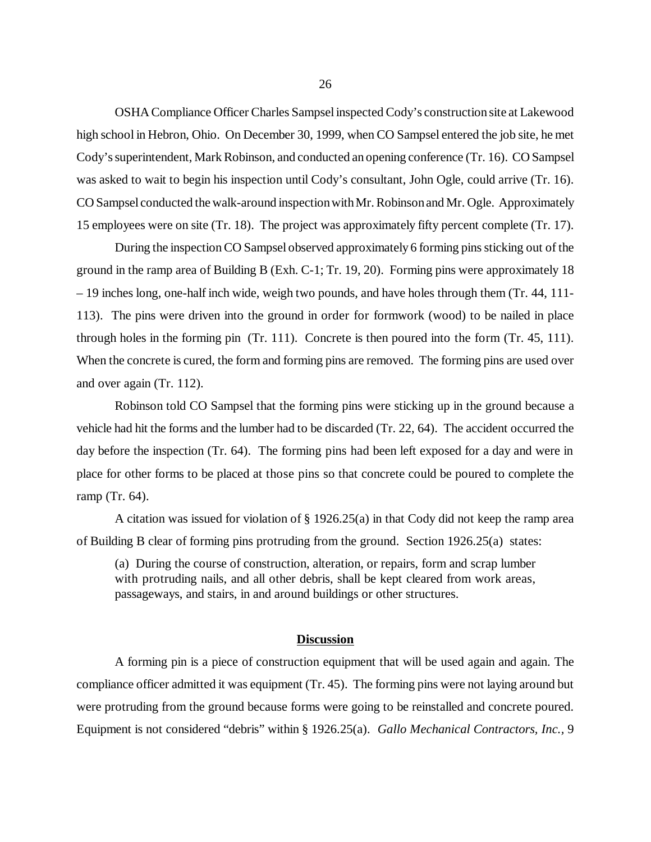OSHA Compliance Officer Charles Sampsel inspected Cody's construction site at Lakewood high school in Hebron, Ohio. On December 30, 1999, when CO Sampsel entered the job site, he met Cody's superintendent, Mark Robinson, and conducted an opening conference (Tr. 16). CO Sampsel was asked to wait to begin his inspection until Cody's consultant, John Ogle, could arrive (Tr. 16). CO Sampsel conducted the walk-around inspection with Mr. Robinson and Mr. Ogle. Approximately 15 employees were on site (Tr. 18). The project was approximately fifty percent complete (Tr. 17).

During the inspection CO Sampsel observed approximately 6 forming pins sticking out of the ground in the ramp area of Building B (Exh. C-1; Tr. 19, 20). Forming pins were approximately 18 – 19 inches long, one-half inch wide, weigh two pounds, and have holes through them (Tr. 44, 111- 113). The pins were driven into the ground in order for formwork (wood) to be nailed in place through holes in the forming pin (Tr. 111). Concrete is then poured into the form (Tr. 45, 111). When the concrete is cured, the form and forming pins are removed. The forming pins are used over and over again (Tr. 112).

Robinson told CO Sampsel that the forming pins were sticking up in the ground because a vehicle had hit the forms and the lumber had to be discarded (Tr. 22, 64). The accident occurred the day before the inspection (Tr. 64). The forming pins had been left exposed for a day and were in place for other forms to be placed at those pins so that concrete could be poured to complete the ramp (Tr. 64).

A citation was issued for violation of § 1926.25(a) in that Cody did not keep the ramp area of Building B clear of forming pins protruding from the ground. Section 1926.25(a) states:

(a) During the course of construction, alteration, or repairs, form and scrap lumber with protruding nails, and all other debris, shall be kept cleared from work areas, passageways, and stairs, in and around buildings or other structures.

#### **Discussion**

A forming pin is a piece of construction equipment that will be used again and again. The compliance officer admitted it was equipment (Tr. 45). The forming pins were not laying around but were protruding from the ground because forms were going to be reinstalled and concrete poured. Equipment is not considered "debris" within § 1926.25(a). *Gallo Mechanical Contractors, Inc.,* 9